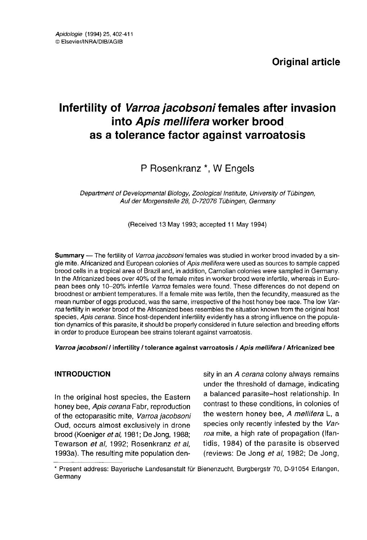# Infertility of Varroa jacobsoni females after invasion into Apis mellifera worker brood as a tolerance factor against varroatosis

## P Rosenkranz \*, W Engels

Department of Developmental Biology, Zoological Institute, University of Tübingen, Auf der Morgenstelle 28, D-72076 Tübingen, Germany

(Received 13 May 1993; accepted 11 May 1994)

Summary — The fertility of Varroa jacobsoni females was studied in worker brood invaded by a single mite. Africanized and European colonies of Apis mellifera were used as sources to sample capped<br>brood cells in a tropical area of Brazil and, in addition, Carnolian colonies were sampled in Germany. In the Africanized bees over 40% of the female mites in worker brood were infertile, whereas in European bees only 10-20% infertile Varroa females were found. These differences do not depend on broodnest or ambient temperatures. If a female mite was fertile, then the fecundity, measured as the mean number of eggs produced, was the same, irrespective of the host honey bee race. The low Varroa fertility in worker brood of the Africanized bees resembles the situation known from the original host species, Apis cerana. Since host-dependent infertility evidently has a strong influence on the population dynamics of this parasite, it should be properly considered in future selection and breeding efforts in order to produce European bee strains tolerant against varroatosis.

## Varroa jacobsoni / infertility / tolerance against varroatosis / Apis mellifera / Africanized bee

## **INTRODUCTION**

In the original host species, the Eastern honey bee, Apis cerana Fabr, reproduction of the ectoparasitic mite, Varroa jacobsoni Oud, occurs almost exclusively in drone brood (Koeniger et al, 1981; De Jong, 1988; Tewarson et al, 1992; Rosenkranz et al, 1993a). The resulting mite population density in an A cerana colony always remains under the threshold of damage, indicating a balanced parasite-host relationship. In contrast to these conditions, in colonies of the western honey bee, A mellifera L, a species only recently infested by the Varroa mite, a high rate of propagation (Ifantidis, 1984) of the parasite is observed (reviews: De Jong et al, 1982; De Jong,

\* Present address: Bayerische Landesanstalt für Bienenzucht, Burgbergstr 70, D-91054 Erlangen, Germany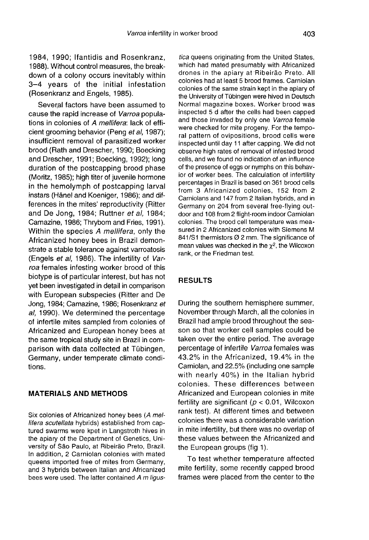1984, 1990; Ifantidis and Rosenkranz, 1988). Without control measures, the breakdown of a colony occurs inevitably within 3-4 years of the initial infestation (Rosenkranz and Engels, 1985).

Several factors have been assumed to cause the rapid increase of Varroa populations in colonies of A mellifera: lack of efficient grooming behavior (Peng et al, 1987); insufficient removal of parasitized worker brood (Rath and Drescher, 1990; Boecking and Drescher, 1991; Boecking, 1992); long duration of the postcapping brood phase (Moritz, 1985); high titer of juvenile hormone in the hemolymph of postcapping larval instars (Hänel and Koeniger, 1986); and differences in the mites' reproductivity (Ritter and De Jong, 1984; Ruttner et al, 1984; Camazine, 1986; Thrybom and Fries, 1991). Within the species A mellifera, only the Africanized honey bees in Brazil demonstrate a stable tolerance against varroatosis (Engels et al, 1986). The infertility of Varroa females infesting worker brood of this biotype is of particular interest, but has not yet been investigated in detail in comparison with European subspecies (Ritter and De Jong, 1984; Camazine, 1986; Rosenkranz et al, 1990). We determined the percentage of infertile mites sampled from colonies of Africanized and European honey bees at the same tropical study site in Brazil in comparison with data collected at Tübingen, Germany, under temperate climate conditions.

## MATERIALS AND METHODS

Six colonies of Africanized honey bees (A mellifera scutellata hybrids) established from captured swarms were kpet in Langstroth hives in the apiary of the Department of Genetics, University of São Paulo, at Ribeirão Preto, Brazil. In addition, 2 Carniolan colonies with mated queens imported free of mites from Germany, and 3 hybrids between Italian and Africanized bees were used. The latter contained A m ligustica queens originating from the United States, which had mated presumably with Africanized drones in the apiary at Ribeirão Preto. All colonies had at least 5 brood frames. Carniolan colonies of the same strain kept in the apiary of the University of Tübingen were hived in Deutsch Normal magazine boxes. Worker brood was inspected 5 d after the cells had been capped and those invaded by only one Varroa female were checked for mite progeny. For the temporal pattern of ovipositions, brood cells were inspected until day 11 after capping. We did not observe high rates of removal of infested brood cells, and we found no indication of an influence of the presence of eggs or nymphs on this behavior of worker bees. The calculation of infertility percentages in Brazil is based on 361 brood cells from 3 Africanized colonies, 152 from 2 Carniolans and 147 from 2 Italian hybrids, and in Germany on 204 from several free-flying outdoor and 108 from 2 flight-room indoor Carniolan colonies. The brood cell temperature was measured in 2 Africanized colonies with Siemens M 841/S1 thermistors Ø 2 mm. The significance of mean values was checked in the  $\chi^2$ , the Wilcoxon rank, or the Friedman test.

## RESULTS

During the southern hemisphere summer, November through March, all the colonies in Brazil had ample brood throughout the season so that worker cell samples could be taken over the entire period. The average percentage of infertile Varroa females was 43.2% in the Africanized, 19.4% in the Carniolan, and 22.5% (including one sample with nearly 40%) in the Italian hybrid colonies. These differences between Africanized and European colonies in mite fertility are significant ( $p < 0.01$ , Wilcoxon rank test). At different times and between colonies there was a considerable variation in mite infertility, but there was no overlap of these values between the Africanized and the European groups (fig 1).

To test whether temperature affected mite fertility, some recently capped brood frames were placed from the center to the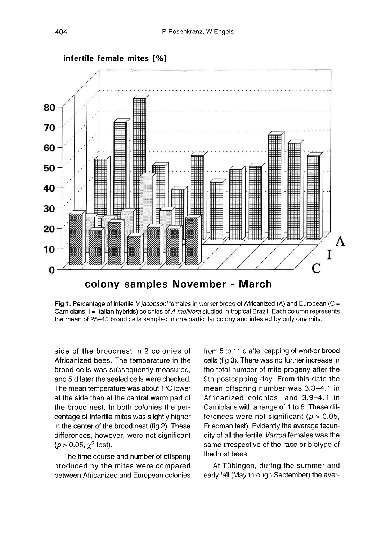

Fig 1. Percentage of infertile V jacobsoni females in worker brood of Africanized (A) and European (C = Carniolans, I = Italian hybrids) colonies of A mellifera studied in tropical Brazil. Each column represents the mean of 25-45 brood cells sampled in one particular colony and infested by only one mite.

side of the broodnest in 2 colonies of Africanized bees. The temperature in the brood cells was subsequently measured, and 5 d later the sealed cells were checked. The mean temperature was about 1°C lower at the side than at the central warm part of the brood nest. In both colonies the percentage of infertile mites was slightly higher in the center of the brood nest (fig 2). These differences, however, were not significant ( $p > 0.05$ ,  $\chi^2$  test).

The time course and number of offspring produced by the mites were compared between Africanized and European colonies from 5 to 11 d after capping of worker brood cells (fig 3). There was no further increase in the total number of mite progeny after the 9th postcapping day. From this date the mean offspring number was 3.3-4.1 in Africanized colonies, and 3.9-4.1 in Carniolans with a range of 1 to 6. These differences were not significant ( $p > 0.05$ , Friedman test). Evidently the average fecundity of all the fertile Varroa females was the same irrespective of the race or biotype of the host bees.

At Tübingen, during the summer and early fall (May through September) the aver-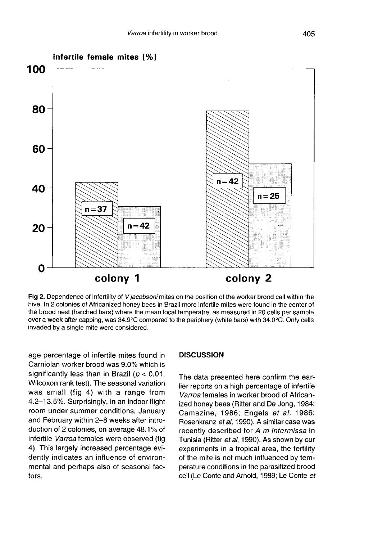

Fig 2. Dependence of infertility of V jacobsoni mites on the position of the worker brood cell within the hive. In 2 colonies of Africanized honey bees in Brazil more infertile mites were found in the center of the brood nest (hatched bars) where the mean local temperatre, as measured in 20 cells per sample over a week after capping, was 34.9°C compared to the periphery (white bars) with 34.0°C. Only cells invaded by a single mite were considered.

age percentage of infertile mites found in Carniolan worker brood was 9.0% which is significantly less than in Brazil ( $p < 0.01$ , Wilcoxon rank test). The seasonal variation was small (fig 4) with a range from 4.2-13.5%. Surprisingly, in an indoor flight room under summer conditions, January and February within 2-8 weeks after introduction of 2 colonies, on average 48.1% of infertile Varroa females were observed (fig 4). This largely increased percentage evidently indicates an influence of environmental and perhaps also of seasonal factors.

#### **DISCUSSION**

The data presented here confirm the earlier reports on a high percentage of infertile Varroa females in worker brood of Africanized honey bees (Ritter and De Jong, 1984; Camazine, 1986; Engels et al, 1986; Rosenkranz et al, 1990). A similar case was recently described for A m intermissa in Tunisia (Ritter et al, 1990). As shown by our experiments in a tropical area, the fertility of the mite is not much influenced by temperature conditions in the parasitized brood cell (Le Conte and Arnold, 1989; Le Conte et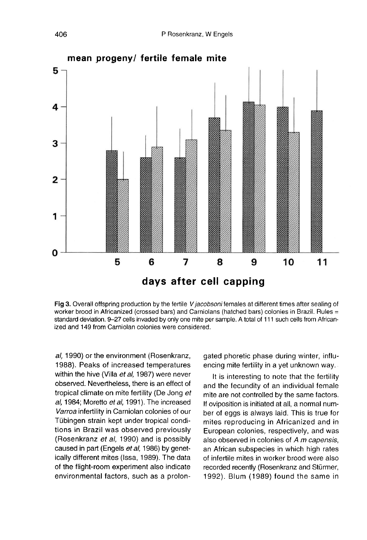

Fig 3. Overall offspring production by the fertile V jacobsoni females at different times after sealing of worker brood in Africanized (crossed bars) and Carniolans (hatched bars) colonies in Brazil. Rules = standard deviation. 9-27 cells invaded by only one mite per sample. A total of 111 such cells from Africanized and 149 from Carniolan colonies were considered.

al, 1990) or the environment (Rosenkranz, 1988). Peaks of increased temperatures within the hive (Villa et al, 1987) were never observed. Nevertheless, there is an effect of tropical climate on mite fertility (De Jong et al, 1984; Moretto et al, 1991). The increased Varroa infertility in Carniolan colonies of our Tübingen strain kept under tropical conditions in Brazil was observed previously (Rosenkranz et al, 1990) and is possibly caused in part (Engels et al, 1986) by genetically different mites (Issa, 1989). The data of the flight-room experiment also indicate environmental factors, such as a prolongated phoretic phase during winter, influencing mite fertility in a yet unknown way.

It is interesting to note that the fertility and the fecundity of an individual female mite are not controlled by the same factors. If oviposition is initiated at all, a normal number of eggs is always laid. This is true for mites reproducing in Africanized and in European colonies, respectively, and was also observed in colonies of A m capensis, an African subspecies in which high rates of infertile mites in worker brood were also recorded recently (Rosenkranz and Stürmer, 1992). Blum (1989) found the same in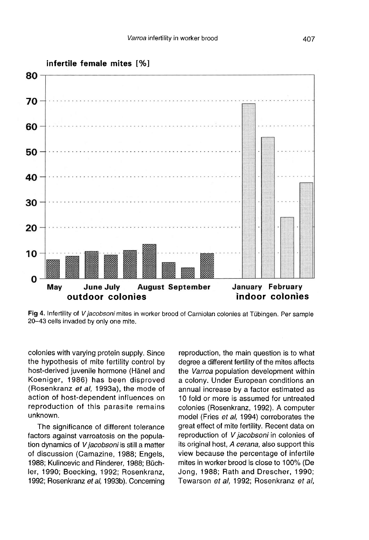

Fig 4. Infertility of V jacobsoni mites in worker brood of Carniolan colonies at Tübingen. Per sample 20-43 cells invaded by only one mite.

colonies with varying protein supply. Since the hypothesis of mite fertility control by host-derived juvenile hormone (Hänel and Koeniger, 1986) has been disproved (Rosenkranz et al, 1993a), the mode of action of host-dependent influences on reproduction of this parasite remains unknown.

The significance of different tolerance factors against varroatosis on the population dynamics of V jacobsoni is still a matter of discussion (Camazine, 1988; Engels, 1988; Kulincevic and Rinderer, 1988; Büchler, 1990; Boecking, 1992; Rosenkranz, 1992; Rosenkranz et al, 1993b). Concerning reproduction, the main question is to what degree a different fertility of the mites affects the Varroa population development within a colony. Under European conditions an annual increase by a factor estimated as 10 fold or more is assumed for untreated colonies (Rosenkranz, 1992). A computer model (Fries et al, 1994) corroborates the great effect of mite fertility. Recent data on reproduction of V jacobsoni in colonies of its original host, A cerana, also support this view because the percentage of infertile mites in worker brood is close to 100% (De Jong, 1988; Rath and Drescher, 1990; Tewarson et al, 1992; Rosenkranz et al,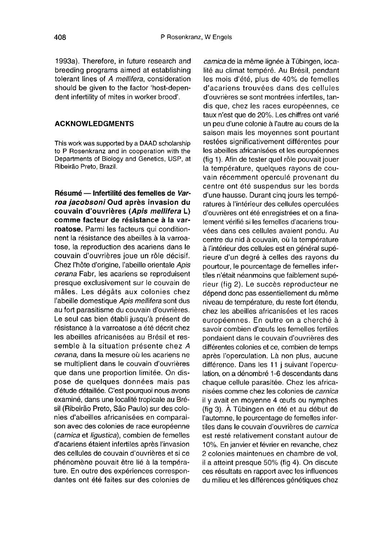1993a). Therefore, in future research and breeding programs aimed at establishing tolerant lines of A mellifera, consideration should be given to the factor 'host-dependent infertility of mites in worker brood'.

## ACKNOWLEDGMENTS

This work was supported by a DAAD scholarship to P Rosenkranz and in cooperation with the Departments of Biology and Genetics, USP, at Ribeirão Preto, Brazil.

Résumé — Infertilité des femelles de Varroa jacobsoni Oud après invasion du<br>couvain d'ouvrières (Apis mellifera L) comme facteur de résistance à la varroatose. Parmi les facteurs qui conditionnent la résistance des abeilles à la varroatose, la reproduction des acariens dans le couvain d'ouvrières joue un rôle décisif. Chez l'hôte d'origine, l'abeille orientale Apis cerana Fabr, les acariens se reproduisent presque exclusivement sur le couvain de mâles. Les dégâts aux colonies chez l'abeille domestique Apis mellifera sont dus au fort parasitisme du couvain d'ouvrières. Le seul cas bien établi jusqu'à présent de résistance à la varroatose a été décrit chez les abeilles africanisées au Brésil et ressemble à la situation présente chez A cerana, dans la mesure où les acariens ne se multiplient dans le couvain d'ouvrières que dans une proportion limitée. On dispose de quelques données mais pas d'étude détaillée. C'est pourquoi nous avons examiné, dans une localité tropicale au Brésil (Ribeirâo Preto, Sâo Paulo) sur des colonies d'abeilles africanisées en comparai son avec des colonies de race européenne (carnica et ligustica), combien de femelles d'acariens étaient infertiles après l'invasion des cellules de couvain d'ouvrières et si ce phénomène pouvait être lié à la tempéra ture. En outre des expériences correspondantes ont été faites sur des colonies de

camica de la même lignée à Tübingen, localité au climat tempéré. Au Brésil, pendant les mois d'été, plus de 40% de femelles d'acariens trouvées dans des cellules d'ouvrières se sont montrées infertiles, tandis que, chez les races européennes, ce taux n'est que de 20%. Les chiffres ont varié un peu d'une colonie à l'autre au cours de la saison mais les moyennes sont pourtant restées significativement différentes pour les abeilles africanisées et les européennes (fig 1). Afin de tester quel rôle pouvait jouer la température, quelques rayons de couvain récemment operculé provenant du centre ont été suspendus sur les bords d'une hausse. Durant cinq jours les tempé ratures à l'intérieur des cellules operculées d'ouvrières ont été enregistrées et on a finalement vérifié si les femelles d'acariens trouvées dans ces cellules avaient pondu. Au centre du nid à couvain, où la température à l'intérieur des cellules est en général supérieure d'un degré à celles des rayons du pourtour, le pourcentage de femelles infertiles n'était néanmoins que faiblement supérieur (fig 2). Le succès reproducteur ne dépend donc pas essentiellement du même niveau de température, du reste fort étendu, chez les abeilles africanisées et les races européennes. En outre on a cherché à savoir combien d'oeufs les femelles fertiles pondaient dans le couvain d'ouvrières des différentes colonies et ce, combien de temps après l'operculation. Là non plus, aucune différence. Dans les 11 j suivant l'operculation, on a dénombré 1-6 descendants dans chaque cellule parasitée. Chez les africanisées comme chez les colonies de carnica il y avait en moyenne 4 oeufs ou nymphes (fig 3). À Tübingen en été et au début de l'automne, le pourcentage de femelles infertiles dans le couvain d'ouvrières de carnica est resté relativement constant autour de 10%. En janvier et février en revanche, chez 2 colonies maintenues en chambre de vol, il a atteint presque 50% (fig 4). On discute ces résultats en rapport avec les influences du milieu et les différences génétiques chez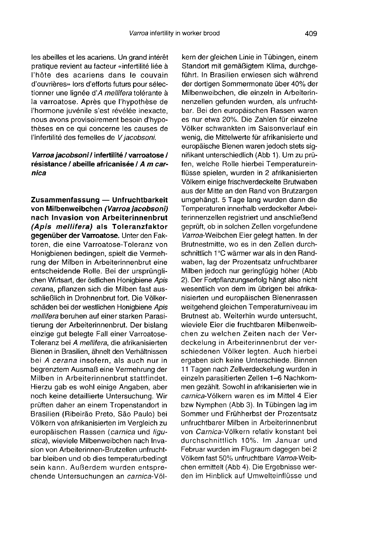les abeilles et les acariens. Un grand intérêt pratique revient au facteur «infertilité liée à l'hôte des acariens dans le couvain d'ouvrières» lors d'efforts futurs pour sélectionner une lignée d'A mellifera tolérante à la varroatose. Après que l'hypothèse de l'hormone juvénile s'est révélée inexacte, nous avons provisoirement besoin d'hypothèses en ce qui concerne les causes de l'infertilité des femelles de V jacobsoni.

## Varroa jacobsoni / infertilité / varroatose / résistance / abeille africanisée / A m carnica

Zusammenfassung — Unfruchtbarkeit von Milbenweibchen (Varroa jacobsoni) nach Invasion von Arbeiterinnenbrut (Apis mellifera) als Toleranzfaktor gegenüber der Varroatose. Unter den Faktoren, die eine Varroatose-Toleranz von Honigbienen bedingen, spielt die Vermehrung der Milben in Arbeiterinnenbrut eine entscheidende Rolle. Bei der ursprünglichen Wirtsart, der östlichen Honigbiene Apis cerana, pflanzen sich die Milben fast ausschließlich in Drohnenbrut fort. Die Völkerschäden bei der westlichen Honigbiene Apis mellifera beruhen auf einer starken Parasitierung der Arbeiterinnenbrut. Der bislang einzige gut belegte Fall einer Varroatose-Toleranz bei A mellifera, die afrikanisierten Bienen in Brasilien, ähnelt den Verhältnissen bei A cerana insofern, als auch nur in begrenztem Ausmaß eine Vermehrung der Milben in Arbeiterinnenbrut stattfindet. Hierzu gab es wohl einige Angaben, aber noch keine detaillierte Untersuchung. Wir prüften daher an einem Tropenstandort in Brasilien (Ribeiräo Preto, Säo Paulo) bei Völkern von afrikanisierten im Vergleich zu europäischen Rassen (carnica und ligustica), wieviele Milbenweibchen nach Invasion von Arbeiterinnen-Brutzellen unfruchtbar bleiben und ob dies temperaturbedingt sein kann. Außerdem wurden entsprechende Untersuchungen an carnica-Völ-

kern der gleichen Linie in Tübingen, einem Standort mit gemäßigtem Klima, durchgeführt. In Brasilien erwiesen sich während der dortigen Sommermonate über 40% der Milbenweibchen, die einzeln in Arbeiterinnenzellen gefunden wurden, als unfruchtbar. Bei den europäischen Rassen waren es nur etwa 20%. Die Zahlen für einzelne Völker schwankten im Saisonverlauf ein wenig, die Mittelwerte für afrikanisierte und europäische Bienen waren jedoch stets signifikant unterschiedlich (Abb 1). Um zu prüfen, welche Rolle hierbei Temperatureinflüsse spielen, wurden in 2 afrikanisierten Völkern einige frischverdeckelte Brutwaben aus der Mitte an den Rand von Brutzargen umgehängt. 5 Tage lang wurden dann die Temperaturen innerhalb verdeckelter Arbeiterinnenzellen registriert und anschließend geprüft, ob in solchen Zellen vorgefundene Varroa-Weibchen Eier gelegt hatten. In der Brutnestmitte, wo es in den Zellen durchschnittlich 1°C wärmer war als in den Randwaben, lag der Prozentsatz unfruchtbarer Milben jedoch nur geringfügig höher (Abb 2). Der Fortpflanzungserfolg hängt also nicht wesentlich von dem im übrigen bei afrikanisierten und europäischen Bienenrassen weitgehend gleichen Temperaturniveau im Brutnest ab. Weiterhin wurde untersucht, wieviele Eier die fruchtbaren Milbenweibchen zu welchen Zeiten nach der Verdeckelung in Arbeiterinnenbrut der verschiedenen Völker legten. Auch hierbei ergaben sich keine Unterschiede. Binnen 11 Tagen nach Zellverdeckelung wurden in einzeln parasitierten Zellen 1-6 Nachkommen gezählt. Sowohl in afrikanisierten wie in carnica-Völkern waren es im Mittel 4 Eier bzw Nymphen (Abb 3). In Tübingen lag im Sommer und Frühherbst der Prozentsatz unfruchtbarer Milben in Arbeiterinnenbrut von Carnica-Völkern relativ konstant bei durchschnittlich 10%. Im Januar und Februar wurden im Flugraum dagegen bei 2 Völkern fast 50% unfruchtbare Varroa-Weibchen ermittelt (Abb 4). Die Ergebnisse werden im Hinblick auf Umwelteinflüsse und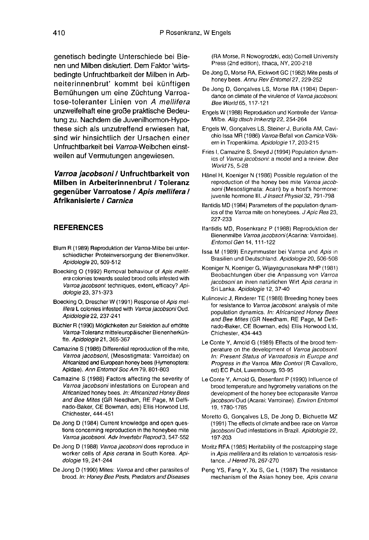genetisch bedingte Unterschiede bei Bienen und Milben diskutiert. Dem Faktor 'wirtsbedingte Unfruchtbarkeit der Milben in Arbneiterinnenbrut' kommt bei künftigen Bemühungen um eine Züchtung Varroatose-toleranter Linien von A mellifera unzweifelhaft eine große praktische Bedeutung zu. Nachdem die Juvenilhormon-Hypothese sich als unzutreffend erwiesen hat, sind wir hinsichtlich der Ursachen einer Unfruchtbarkeit bei Varroa-Weibchen einstweilen auf Vermutungen angewiesen.

## Varroa jacobsoni / Unfruchtbarkeit von Milben in Arbeiterinnenbrut / Toleranz gegenüber Varroatose / Apis mellifera / Afrikanisierte / Carnica

## **REFERENCES**

- Blum R (1989) Reproduktion der Varroa-Milbe bei unterschiedlicher Proteinversorgung der Bienenvölker. Apidologie 20, 509-512
- Boecking O (1992) Removal behaviour of Apis mellifera colonies towards sealed brood cells infested with Varroa jacobsoni: techniques, extent, efficacy? Apidologie 23, 371-373
- Boecking O, Drescher W (1991) Response of Apis mellifera L colonies infested with Varroa jacobsoni Oud. Apidologie 22, 237-241
- Büchler R (1990) Möglichkeiten zur Selektion auf erhöhte Varroa-Toleranz mitteleuropäischer Bienenherkünfte. Apidologie 21, 365-367
- Camazine S (1986) Differential reproduction of the mite, Varroa jacobsoni, (Mesostigmata: Varroidae) on Africanized and European honey bees (Hymenoptera: Apidae). Ann Entomol Soc Am 79, 801-803
- Camazine S (1988) Factors affecting the severity of Varroa jacobsoni infestations on European and Africanized honey bees. In: Africanized Honey Bees and Bee Mites (GR Needham, RE Page, M Delfinado-Baker, CE Bowman, eds) Ellis Horwood Ltd, Chichester, 444-451
- De Jong D (1984) Current knowledge and open questions concerning reproduction in the honeybee mite Varroa jacobsoni. Adv Invertebr Reprod 3, 547-552
- De Jong D (1988) Varroa jacobsoni does reproduce in worker cells of Apis cerana in South Korea. Apidologie 19, 241-244
- De Jong D (1990) Mites: Varroa and other parasites of brood. In: Honey Bee Pests, Predators and Diseases

(RA Morse, R Nowogrodzki, eds) Cornell University Press (2nd edition), Ithaca, NY, 200-218

- De Jong D, Morse RA, Eickwort GC (1982) Mite pests of honey bees. Annu Rev Entomol 27, 229-252
- De Jong D, Gonçalves LS, Morse RA (1984) Depen dance on climate of the virulence of Varroa jacobsoni. Bee World 65, 117-121
- Engels W (1988) Reproduktion und Kontrolle der Varroa-Milbe. Allg dtsch Imkerztg 22, 254-264
- Engels W, Gonçalves LS, Steiner J, Buriolla AM, Cavichio Issa MR (1986) Varroa-Befall von Carnica-Völkern in Tropenklima. Apidologie 17, 203-215
- Fries I, Camazine S, Sneyd J (1994) Population dynam ics of Varroa jacobsoni: a model and a review. Bee World 75, 5-28
- Hänel H, Koeniger N (1986) Possible regulation of the reproduction of the honey bee mite Varroa jacob soni (Mesostigmata: Acari) by a host's hormone: juvenile hormone III. J Insect Physiol 32, 791-798
- Ifantidis MD (1984) Parameters of the population dynam ics of the Varroa mite on honeybees. J Apic Res 23, 227-233
- Ifantidis MD, Rosenkranz P (1988) Reproduktion der Bienenmilbe Varroa jacobsoni (Acarina: Varroidae). Entomol Gen 14, 111-122
- Issa M (1989) Enzymmuster bei Varroa und Apis in Brasilien und Deutschland. Apidologie 20, 506-508
- Koeniger N, Koeniger G, Wijayagunasekara NHP (1981) Beobachtungen über die Anpassung von Varroa jacobsoni an ihren natürlichen Wirt Apis cerana in Sri Lanka. Apidologie 12, 37-40
- Kulincevic J, Rinderer TE (1988) Breeding honey bees for resistance to Varroa jacobsoni: analysis of mite population dynamics. In: Africanized Honey Bees and Bee Mites (GR Needham, RE Page, M Delfinado-Baker, CE Bowman, eds) Ellis Horwood Ltd, Chichester, 434-443
- Le Conte Y, Arnold G (1989) Effects of the brood temperature on the development of Varroa jacobsoni. In: Present Status of Varroatosis in Europe and Progress in the Varroa Mite Control (R Cavalloro, ed) EC Publ, Luxembourg, 93-95
- Le Conte Y, Arnold G, Desenfant P (1990) Influence of brood temperature and hygrometry variations on the development of the honey bee ectoparasite Varroa jacobsoni Oud (Acarai: Varroinae). Environ Entomol 19, 1780-1785
- Moretto G, Gonçalves LS, De Jong D, Bichuette MZ (1991) The effects of climate and bee race on Varroa jacobsoni Oud infestations in Brazil. Apidologie 22, 197-203
- Moritz RFA (1985) Heritability of the postcapping stage in Apis mellifera and its relation to varroatosis resistance. J Hered 76, 267-270
- Peng YS, Fang Y, Xu S, Ge L (1987) The resistance mechanism of the Asian honey bee, Apis cerana